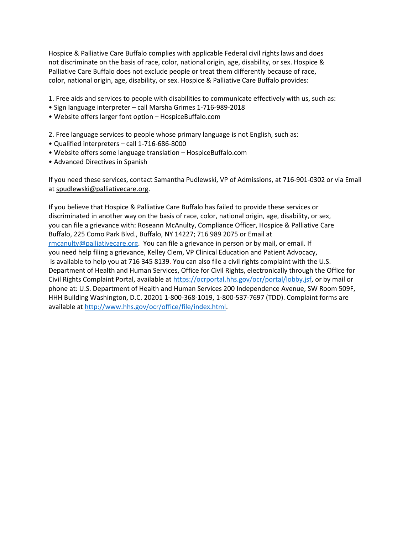Hospice & Palliative Care Buffalo complies with applicable Federal civil rights laws and does not discriminate on the basis of race, color, national origin, age, disability, or sex. Hospice & Palliative Care Buffalo does not exclude people or treat them differently because of race, color, national origin, age, disability, or sex. Hospice & Palliative Care Buffalo provides:

- 1. Free aids and services to people with disabilities to communicate effectively with us, such as:
- Sign language interpreter call Marsha Grimes 1-716-989-2018
- Website offers larger font option HospiceBuffalo.com
- 2. Free language services to people whose primary language is not English, such as:
- Qualified interpreters call 1-716-686-8000
- Website offers some language translation HospiceBuffalo.com
- Advanced Directives in Spanish

If you need these services, contact Samantha Pudlewski, VP of Admissions, at 716-901-0302 or via Email at [spudlewski@palliativecare.org.](mailto:spudlewski@palliativecare.org)

If you believe that Hospice & Palliative Care Buffalo has failed to provide these services or discriminated in another way on the basis of race, color, national origin, age, disability, or sex, you can file a grievance with: Roseann McAnulty, Compliance Officer, Hospice & Palliative Care Buffalo, 225 Como Park Blvd., Buffalo, NY 14227; 716 989 2075 or Email at [rmcanulty@palliativecare.org.](mailto:rmcanulty@palliativecare.org) You can file a grievance in person or by mail, or email. If you need help filing a grievance, Kelley Clem, VP Clinical Education and Patient Advocacy, is available to help you at 716 345 8139. You can also file a civil rights complaint with the U.S. Department of Health and Human Services, Office for Civil Rights, electronically through the Office for Civil Rights Complaint Portal, available at [https://ocrportal.hhs.gov/ocr/portal/lobby.jsf,](https://ocrportal.hhs.gov/ocr/portal/lobby.jsf) or by mail or phone at: U.S. Department of Health and Human Services 200 Independence Avenue, SW Room 509F, HHH Building Washington, D.C. 20201 1-800-368-1019, 1-800-537-7697 (TDD). Complaint forms are available at [http://www.hhs.gov/ocr/office/file/index.html.](http://www.hhs.gov/ocr/office/file/index.html)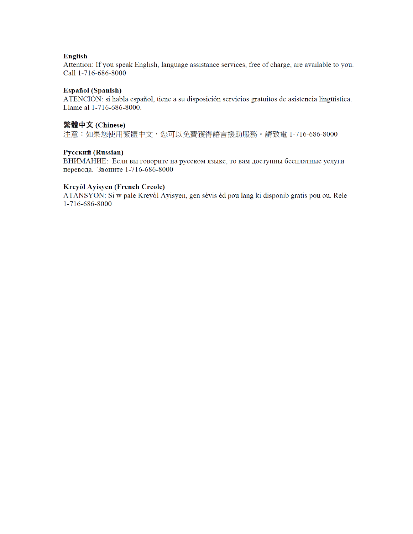# English

Attention: If you speak English, language assistance services, free of charge, are available to you. Call 1-716-686-8000

## Español (Spanish)

ATENCIÓN: si habla español, tiene a su disposición servicios gratuitos de asistencia lingüística. Llame al 1-716-686-8000.

## 繁體中文 (Chinese)

注意:如果您使用繁體中文,您可以免費獲得語言援助服務。請致電 1-716-686-8000

## Русский (Russian)

ВНИМАНИЕ: Если вы говорите на русском языке, то вам доступны бесплатные услуги перевода. Звоните 1-716-686-8000

## Kreyòl Ayisyen (French Creole)

ATANSYON: Si w pale Kreyòl Ayisyen, gen sèvis èd pou lang ki disponib gratis pou ou. Rele 1-716-686-8000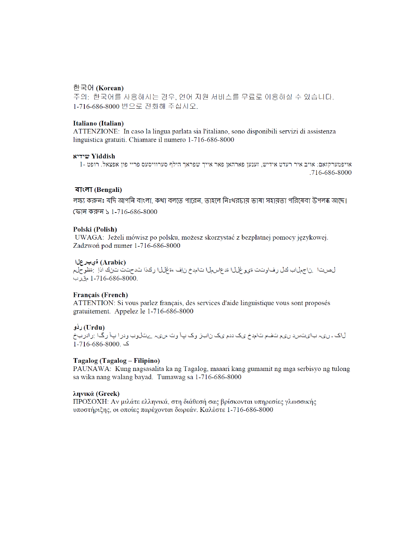## 한국어 (Korean)

주의: 한국어를 사용하시는 경우, 언어 지원 서비스를 무료로 이용하실 수 있습니다. 1-716-686-8000 번으로 전화해 주십시오.

### Italiano (Italian)

ATTENZIONE: In caso la lingua parlata sia l'italiano, sono disponibili servizi di assistenza linguistica gratuiti. Chiamare il numero 1-716-686-8000

#### **WYiddish**

1- אויפמערקזאם: אויב איר רעדט אידיש, זענען פארהאן פאר אייך שפראך הילף סערוויסעס פריי פון אפצאל. רופט .716-686-8000

## वाःना (Bengali)

লক্ষ্য করুনঃ যদি আপনি বাংলা, কথা বলতে পারেন, তাহলে নিঃথরচায় ভাষা সহায়তা পরিষেবা উপলব্ধ আছে।

ফোন করুন ১ 1-716-686-8000

#### Polski (Polish)

UWAGA: Jeżeli mówisz po polsku, możesz skorzystać z bezpłatnej pomocy językowej. Zadzwoń pod numer 1-716-686-8000

### (Arabic) ةيبرعلا

لصيتال بناجملاب لثل رفاوتت ةيوغللا قدعاسملا تامدخ زاف ،ةغللا رائدا شدحتت تن ل اذل :قظوحلم .1-716-686-8000 مقرب

#### **Français (French)**

ATTENTION: Si vous parlez français, des services d'aide linguistique vous sont proposés gratuitement. Appelez le 1-716-686-8000

## (Urdu) ردُو

لاک ۔ ریہ بایتس دری متفم تامدخ یک ددم یک زابز وک پاآ وت ،ںیہ ےتالوب ودرا پاآ رگا :رادربخ ک .8000-686-686-1

## Tagalog (Tagalog – Filipino)

PAUNAWA: Kung nagsasalita ka ng Tagalog, maaari kang gumamit ng mga serbisyo ng tulong sa wika nang walang bayad. Tumawag sa 1-716-686-8000

## ληνικά (Greek)

ΠΡΟΣΟΧΗ: Αν μιλάτε ελληνικά, στη διάθεσή σας βρίσκονται υπηρεσίες γλωσσικής υποστήριξης, οι οποίες παρέχονται δωρεάν. Καλέστε 1-716-686-8000